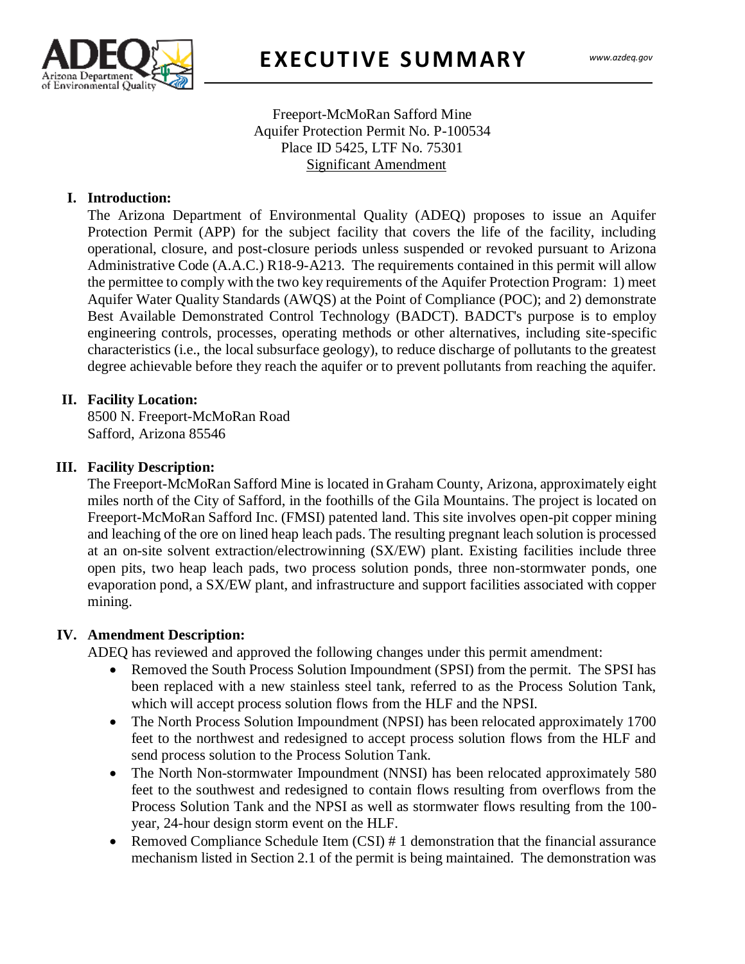

## Freeport-McMoRan Safford Mine Aquifer Protection Permit No. P-100534 Place ID 5425, LTF No. 75301 Significant Amendment

## **I. Introduction:**

 $\frac{1}{2}$ The Arizona Department of Environmental Quality (ADEQ) proposes to issue an Aquifer Protection Permit (APP) for the subject facility that covers the life of the facility, including operational, closure, and post-closure periods unless suspended or revoked pursuant to Arizona Administrative Code (A.A.C.) R18-9-A213. The requirements contained in this permit will allow the permittee to comply with the two key requirements of the Aquifer Protection Program: 1) meet Aquifer Water Quality Standards (AWQS) at the Point of Compliance (POC); and 2) demonstrate Best Available Demonstrated Control Technology (BADCT). BADCT's purpose is to employ engineering controls, processes, operating methods or other alternatives, including site-specific characteristics (i.e., the local subsurface geology), to reduce discharge of pollutants to the greatest degree achievable before they reach the aquifer or to prevent pollutants from reaching the aquifer.

### **II. Facility Location:**

8500 N. Freeport-McMoRan Road Safford, Arizona 85546

### **III. Facility Description:**

The Freeport-McMoRan Safford Mine is located in Graham County, Arizona, approximately eight miles north of the City of Safford, in the foothills of the Gila Mountains. The project is located on Freeport-McMoRan Safford Inc. (FMSI) patented land. This site involves open-pit copper mining and leaching of the ore on lined heap leach pads. The resulting pregnant leach solution is processed at an on-site solvent extraction/electrowinning (SX/EW) plant. Existing facilities include three open pits, two heap leach pads, two process solution ponds, three non-stormwater ponds, one evaporation pond, a SX/EW plant, and infrastructure and support facilities associated with copper mining.

#### **IV. Amendment Description:**

ADEQ has reviewed and approved the following changes under this permit amendment:

- Removed the South Process Solution Impoundment (SPSI) from the permit. The SPSI has been replaced with a new stainless steel tank, referred to as the Process Solution Tank, which will accept process solution flows from the HLF and the NPSI.
- The North Process Solution Impoundment (NPSI) has been relocated approximately 1700 feet to the northwest and redesigned to accept process solution flows from the HLF and send process solution to the Process Solution Tank.
- The North Non-stormwater Impoundment (NNSI) has been relocated approximately 580 feet to the southwest and redesigned to contain flows resulting from overflows from the Process Solution Tank and the NPSI as well as stormwater flows resulting from the 100 year, 24-hour design storm event on the HLF.
- Removed Compliance Schedule Item (CSI) # 1 demonstration that the financial assurance mechanism listed in Section 2.1 of the permit is being maintained. The demonstration was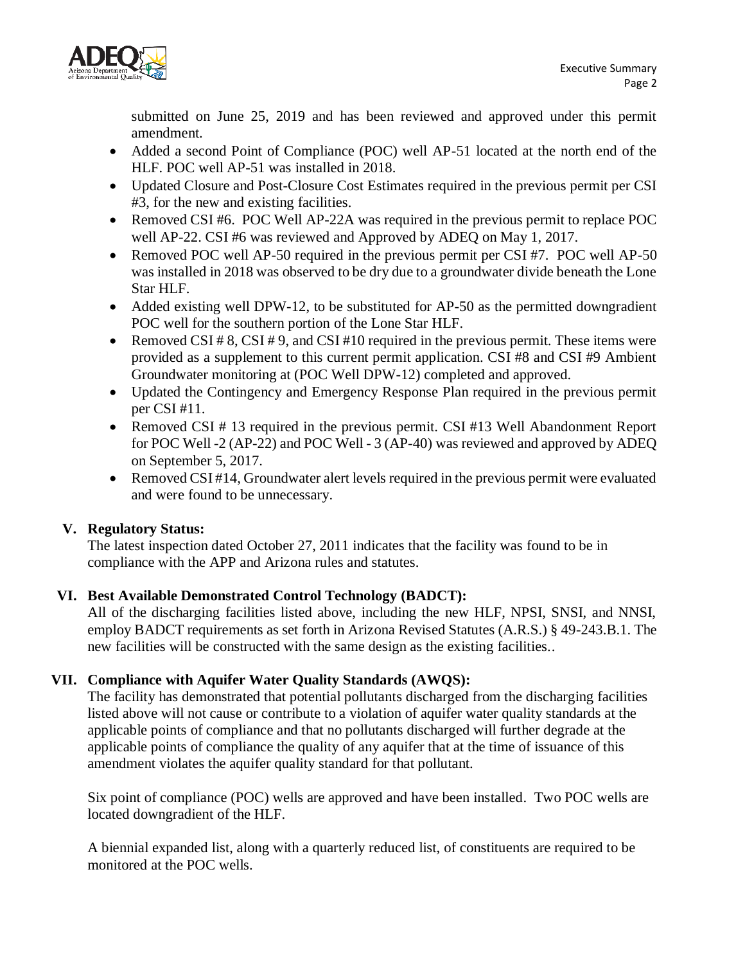

submitted on June 25, 2019 and has been reviewed and approved under this permit amendment.

- Added a second Point of Compliance (POC) well AP-51 located at the north end of the HLF. POC well AP-51 was installed in 2018.
- Updated Closure and Post-Closure Cost Estimates required in the previous permit per CSI #3, for the new and existing facilities.
- Removed CSI #6. POC Well AP-22A was required in the previous permit to replace POC well AP-22. CSI #6 was reviewed and Approved by ADEQ on May 1, 2017.
- Removed POC well AP-50 required in the previous permit per CSI #7. POC well AP-50 was installed in 2018 was observed to be dry due to a groundwater divide beneath the Lone Star HLF.
- Added existing well DPW-12, to be substituted for AP-50 as the permitted downgradient POC well for the southern portion of the Lone Star HLF.
- Removed CSI # 8, CSI # 9, and CSI #10 required in the previous permit. These items were provided as a supplement to this current permit application. CSI #8 and CSI #9 Ambient Groundwater monitoring at (POC Well DPW-12) completed and approved.
- Updated the Contingency and Emergency Response Plan required in the previous permit per CSI #11.
- Removed CSI # 13 required in the previous permit. CSI #13 Well Abandonment Report for POC Well -2 (AP-22) and POC Well - 3 (AP-40) was reviewed and approved by ADEQ on September 5, 2017.
- Removed CSI #14, Groundwater alert levels required in the previous permit were evaluated and were found to be unnecessary.

# **V. Regulatory Status:**

 The latest inspection dated October 27, 2011 indicates that the facility was found to be in compliance with the APP and Arizona rules and statutes.

# **VI. Best Available Demonstrated Control Technology (BADCT):**

All of the discharging facilities listed above, including the new HLF, NPSI, SNSI, and NNSI, employ BADCT requirements as set forth in Arizona Revised Statutes (A.R.S.) § 49-243.B.1. The new facilities will be constructed with the same design as the existing facilities..

## **VII. Compliance with Aquifer Water Quality Standards (AWQS):**

The facility has demonstrated that potential pollutants discharged from the discharging facilities listed above will not cause or contribute to a violation of aquifer water quality standards at the applicable points of compliance and that no pollutants discharged will further degrade at the applicable points of compliance the quality of any aquifer that at the time of issuance of this amendment violates the aquifer quality standard for that pollutant.

Six point of compliance (POC) wells are approved and have been installed. Two POC wells are located downgradient of the HLF.

A biennial expanded list, along with a quarterly reduced list, of constituents are required to be monitored at the POC wells.